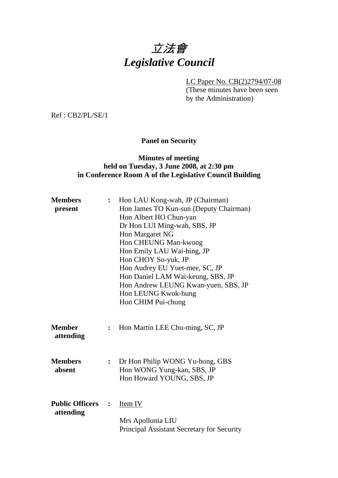# 立法會 *Legislative Council*

LC Paper No. CB(2)2794/07-08

(These minutes have been seen by the Administration)

Ref : CB2/PL/SE/1

# **Panel on Security**

## **Minutes of meeting held on Tuesday, 3 June 2008, at 2:30 pm in Conference Room A of the Legislative Council Building**

| <b>Members</b><br>present           | $\ddot{\cdot}$               | Hon LAU Kong-wah, JP (Chairman)<br>Hon James TO Kun-sun (Deputy Chairman)<br>Hon Albert HO Chun-yan<br>Dr Hon LUI Ming-wah, SBS, JP<br>Hon Margaret NG<br>Hon CHEUNG Man-kwong<br>Hon Emily LAU Wai-hing, JP<br>Hon CHOY So-yuk, JP<br>Hon Audrey EU Yuet-mee, SC, JP<br>Hon Daniel LAM Wai-keung, SBS, JP<br>Hon Andrew LEUNG Kwan-yuen, SBS, JP<br>Hon LEUNG Kwok-hung<br>Hon CHIM Pui-chung |
|-------------------------------------|------------------------------|------------------------------------------------------------------------------------------------------------------------------------------------------------------------------------------------------------------------------------------------------------------------------------------------------------------------------------------------------------------------------------------------|
| <b>Member</b><br>attending          | :                            | Hon Martin LEE Chu-ming, SC, JP                                                                                                                                                                                                                                                                                                                                                                |
| <b>Members</b><br>absent            | :                            | Dr Hon Philip WONG Yu-hong, GBS<br>Hon WONG Yung-kan, SBS, JP<br>Hon Howard YOUNG, SBS, JP                                                                                                                                                                                                                                                                                                     |
| <b>Public Officers</b><br>attending | $\overset{\bullet}{\bullet}$ | Item IV<br>Mrs Apollonia LIU<br>Principal Assistant Secretary for Security                                                                                                                                                                                                                                                                                                                     |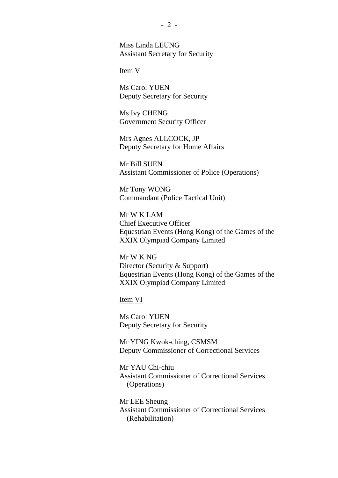Miss Linda LEUNG Assistant Secretary for Security

Item V

Ms Carol YUEN Deputy Secretary for Security

Ms Ivy CHENG Government Security Officer

Mrs Agnes ALLCOCK, JP Deputy Secretary for Home Affairs

Mr Bill SUEN Assistant Commissioner of Police (Operations)

Mr Tony WONG Commandant (Police Tactical Unit)

Mr W K LAM Chief Executive Officer Equestrian Events (Hong Kong) of the Games of the XXIX Olympiad Company Limited

Mr W K NG Director (Security & Support) Equestrian Events (Hong Kong) of the Games of the XXIX Olympiad Company Limited

Item VI

Ms Carol YUEN Deputy Secretary for Security

Mr YING Kwok-ching, CSMSM Deputy Commissioner of Correctional Services

Mr YAU Chi-chiu Assistant Commissioner of Correctional Services (Operations)

Mr LEE Sheung Assistant Commissioner of Correctional Services (Rehabilitation)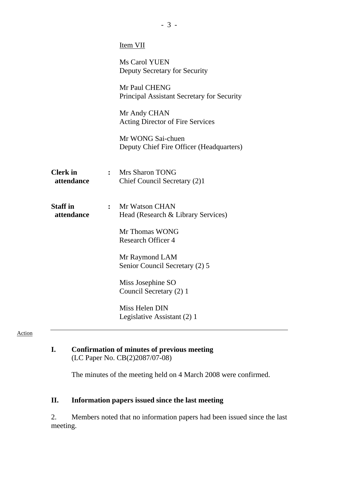|                               |                | <b>Item VII</b>                                               |
|-------------------------------|----------------|---------------------------------------------------------------|
|                               |                | Ms Carol YUEN<br>Deputy Secretary for Security                |
|                               |                | Mr Paul CHENG<br>Principal Assistant Secretary for Security   |
|                               |                | Mr Andy CHAN<br><b>Acting Director of Fire Services</b>       |
|                               |                | Mr WONG Sai-chuen<br>Deputy Chief Fire Officer (Headquarters) |
| <b>Clerk</b> in<br>attendance |                | : Mrs Sharon TONG<br>Chief Council Secretary (2)1             |
| <b>Staff</b> in<br>attendance | $\ddot{\cdot}$ | Mr Watson CHAN<br>Head (Research & Library Services)          |
|                               |                | Mr Thomas WONG<br><b>Research Officer 4</b>                   |
|                               |                | Mr Raymond LAM<br>Senior Council Secretary (2) 5              |
|                               |                | Miss Josephine SO<br>Council Secretary (2) 1                  |
|                               |                | Miss Helen DIN<br>Legislative Assistant (2) 1                 |
|                               |                |                                                               |

#### Action

### **I. Confirmation of minutes of previous meeting**  (LC Paper No. CB(2)2087/07-08)

The minutes of the meeting held on 4 March 2008 were confirmed.

# **II. Information papers issued since the last meeting**

2. Members noted that no information papers had been issued since the last meeting.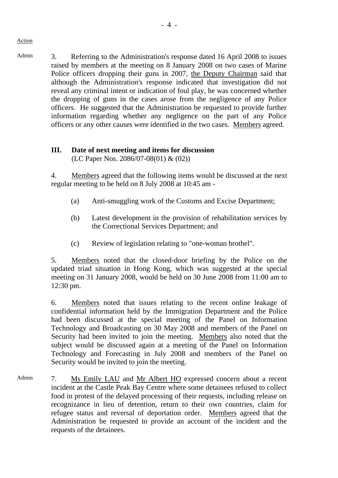Admin 3. Referring to the Administration's response dated 16 April 2008 to issues raised by members at the meeting on 8 January 2008 on two cases of Marine Police officers dropping their guns in 2007, the Deputy Chairman said that although the Administration's response indicated that investigation did not reveal any criminal intent or indication of foul play, he was concerned whether the dropping of guns in the cases arose from the negligence of any Police officers. He suggested that the Administration be requested to provide further information regarding whether any negligence on the part of any Police officers or any other causes were identified in the two cases. Members agreed.

## **III. Date of next meeting and items for discussion**  (LC Paper Nos. 2086/07-08(01) & (02))

4. Members agreed that the following items would be discussed at the next regular meeting to be held on 8 July 2008 at 10:45 am -

- (a) Anti-smuggling work of the Customs and Excise Department;
- (b) Latest development in the provision of rehabilitation services by the Correctional Services Department; and
- (c) Review of legislation relating to "one-woman brothel".

5. Members noted that the closed-door briefing by the Police on the updated triad situation in Hong Kong, which was suggested at the special meeting on 31 January 2008, would be held on 30 June 2008 from 11:00 am to 12:30 pm.

6. Members noted that issues relating to the recent online leakage of confidential information held by the Immigration Department and the Police had been discussed at the special meeting of the Panel on Information Technology and Broadcasting on 30 May 2008 and members of the Panel on Security had been invited to join the meeting. Members also noted that the subject would be discussed again at a meeting of the Panel on Information Technology and Forecasting in July 2008 and members of the Panel on Security would be invited to join the meeting.

Admin 7. Ms Emily LAU and Mr Albert HO expressed concern about a recent incident at the Castle Peak Bay Centre where some detainees refused to collect food in protest of the delayed processing of their requests, including release on recognizance in lieu of detention, return to their own countries, claim for refugee status and reversal of deportation order. Members agreed that the Administration be requested to provide an account of the incident and the requests of the detainees.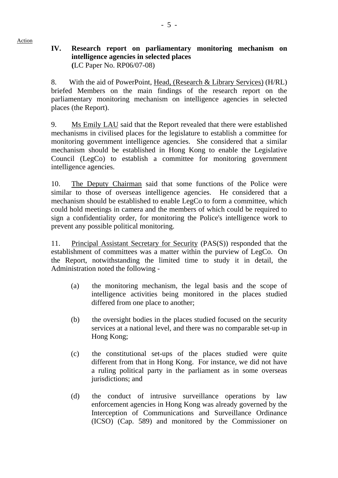## **IV. Research report on parliamentary monitoring mechanism on intelligence agencies in selected places (**LC Paper No. RP06/07-08)

8. With the aid of PowerPoint, Head, (Research & Library Services) (H/RL) briefed Members on the main findings of the research report on the parliamentary monitoring mechanism on intelligence agencies in selected places (the Report).

9. Ms Emily LAU said that the Report revealed that there were established mechanisms in civilised places for the legislature to establish a committee for monitoring government intelligence agencies. She considered that a similar mechanism should be established in Hong Kong to enable the Legislative Council (LegCo) to establish a committee for monitoring government intelligence agencies.

10. The Deputy Chairman said that some functions of the Police were similar to those of overseas intelligence agencies. He considered that a mechanism should be established to enable LegCo to form a committee, which could hold meetings in camera and the members of which could be required to sign a confidentiality order, for monitoring the Police's intelligence work to prevent any possible political monitoring.

11. Principal Assistant Secretary for Security (PAS(S)) responded that the establishment of committees was a matter within the purview of LegCo. On the Report, notwithstanding the limited time to study it in detail, the Administration noted the following -

- (a) the monitoring mechanism, the legal basis and the scope of intelligence activities being monitored in the places studied differed from one place to another;
- (b) the oversight bodies in the places studied focused on the security services at a national level, and there was no comparable set-up in Hong Kong;
- (c) the constitutional set-ups of the places studied were quite different from that in Hong Kong. For instance, we did not have a ruling political party in the parliament as in some overseas jurisdictions; and
- (d) the conduct of intrusive surveillance operations by law enforcement agencies in Hong Kong was already governed by the Interception of Communications and Surveillance Ordinance (ICSO) (Cap. 589) and monitored by the Commissioner on

- 5 -

Action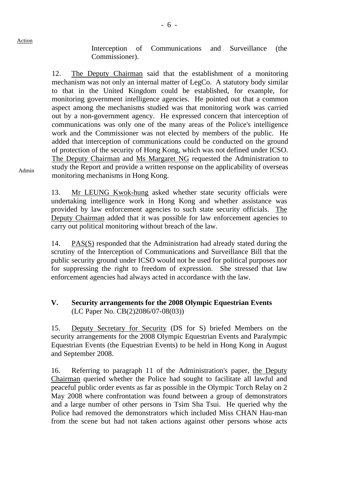Interception of Communications and Surveillance (the Commissioner).

12. The Deputy Chairman said that the establishment of a monitoring mechanism was not only an internal matter of LegCo. A statutory body similar to that in the United Kingdom could be established, for example, for monitoring government intelligence agencies. He pointed out that a common aspect among the mechanisms studied was that monitoring work was carried out by a non-government agency. He expressed concern that interception of communications was only one of the many areas of the Police's intelligence work and the Commissioner was not elected by members of the public. He added that interception of communications could be conducted on the ground of protection of the security of Hong Kong, which was not defined under ICSO. The Deputy Chairman and Ms Margaret NG requested the Administration to study the Report and provide a written response on the applicability of overseas monitoring mechanisms in Hong Kong.

13. Mr LEUNG Kwok-hung asked whether state security officials were undertaking intelligence work in Hong Kong and whether assistance was provided by law enforcement agencies to such state security officials. The Deputy Chairman added that it was possible for law enforcement agencies to carry out political monitoring without breach of the law.

14. PAS(S) responded that the Administration had already stated during the scrutiny of the Interception of Communications and Surveillance Bill that the public security ground under ICSO would not be used for political purposes nor for suppressing the right to freedom of expression. She stressed that law enforcement agencies had always acted in accordance with the law.

# **V. Security arrangements for the 2008 Olympic Equestrian Events**  (LC Paper No. CB(2)2086/07-08(03))

15. Deputy Secretary for Security (DS for S) briefed Members on the security arrangements for the 2008 Olympic Equestrian Events and Paralympic Equestrian Events (the Equestrian Events) to be held in Hong Kong in August and September 2008.

16. Referring to paragraph 11 of the Administration's paper, the Deputy Chairman queried whether the Police had sought to facilitate all lawful and peaceful public order events as far as possible in the Olympic Torch Relay on 2 May 2008 where confrontation was found between a group of demonstrators and a large number of other persons in Tsim Sha Tsui. He queried why the Police had removed the demonstrators which included Miss CHAN Hau-man from the scene but had not taken actions against other persons whose acts

Admin

Action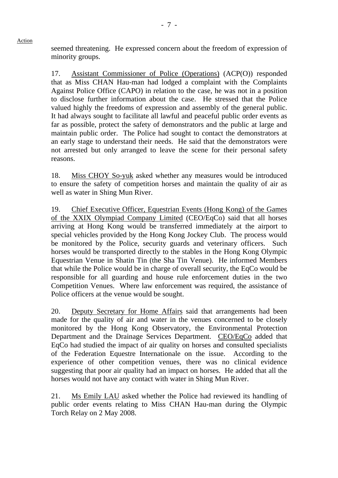seemed threatening. He expressed concern about the freedom of expression of minority groups.

Action

17. Assistant Commissioner of Police (Operations) (ACP(O)) responded that as Miss CHAN Hau-man had lodged a complaint with the Complaints Against Police Office (CAPO) in relation to the case, he was not in a position to disclose further information about the case. He stressed that the Police valued highly the freedoms of expression and assembly of the general public. It had always sought to facilitate all lawful and peaceful public order events as far as possible, protect the safety of demonstrators and the public at large and maintain public order. The Police had sought to contact the demonstrators at an early stage to understand their needs. He said that the demonstrators were not arrested but only arranged to leave the scene for their personal safety reasons.

18. Miss CHOY So-yuk asked whether any measures would be introduced to ensure the safety of competition horses and maintain the quality of air as well as water in Shing Mun River.

19. Chief Executive Officer, Equestrian Events (Hong Kong) of the Games of the XXIX Olympiad Company Limited (CEO/EqCo) said that all horses arriving at Hong Kong would be transferred immediately at the airport to special vehicles provided by the Hong Kong Jockey Club. The process would be monitored by the Police, security guards and veterinary officers. Such horses would be transported directly to the stables in the Hong Kong Olympic Equestrian Venue in Shatin Tin (the Sha Tin Venue). He informed Members that while the Police would be in charge of overall security, the EqCo would be responsible for all guarding and house rule enforcement duties in the two Competition Venues. Where law enforcement was required, the assistance of Police officers at the venue would be sought.

20. Deputy Secretary for Home Affairs said that arrangements had been made for the quality of air and water in the venues concerned to be closely monitored by the Hong Kong Observatory, the Environmental Protection Department and the Drainage Services Department. CEO/EqCo added that EqCo had studied the impact of air quality on horses and consulted specialists of the Federation Equestre Internationale on the issue. According to the experience of other competition venues, there was no clinical evidence suggesting that poor air quality had an impact on horses. He added that all the horses would not have any contact with water in Shing Mun River.

21. Ms Emily LAU asked whether the Police had reviewed its handling of public order events relating to Miss CHAN Hau-man during the Olympic Torch Relay on 2 May 2008.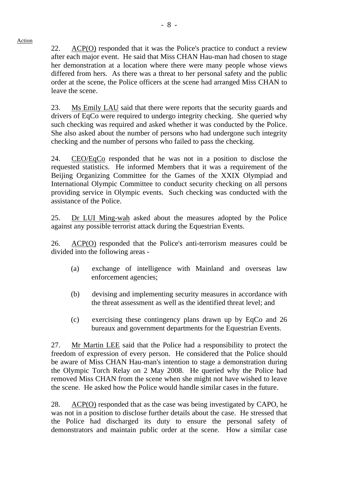22. ACP(O) responded that it was the Police's practice to conduct a review after each major event. He said that Miss CHAN Hau-man had chosen to stage her demonstration at a location where there were many people whose views differed from hers. As there was a threat to her personal safety and the public order at the scene, the Police officers at the scene had arranged Miss CHAN to

23. Ms Emily LAU said that there were reports that the security guards and drivers of EqCo were required to undergo integrity checking. She queried why such checking was required and asked whether it was conducted by the Police. She also asked about the number of persons who had undergone such integrity checking and the number of persons who failed to pass the checking.

24. CEO/EqCo responded that he was not in a position to disclose the requested statistics. He informed Members that it was a requirement of the Beijing Organizing Committee for the Games of the XXIX Olympiad and International Olympic Committee to conduct security checking on all persons providing service in Olympic events. Such checking was conducted with the assistance of the Police.

25. Dr LUI Ming-wah asked about the measures adopted by the Police against any possible terrorist attack during the Equestrian Events.

26. ACP(O) responded that the Police's anti-terrorism measures could be divided into the following areas -

- (a) exchange of intelligence with Mainland and overseas law enforcement agencies;
- (b) devising and implementing security measures in accordance with the threat assessment as well as the identified threat level; and
- (c) exercising these contingency plans drawn up by EqCo and 26 bureaux and government departments for the Equestrian Events.

27. Mr Martin LEE said that the Police had a responsibility to protect the freedom of expression of every person. He considered that the Police should be aware of Miss CHAN Hau-man's intention to stage a demonstration during the Olympic Torch Relay on 2 May 2008. He queried why the Police had removed Miss CHAN from the scene when she might not have wished to leave the scene. He asked how the Police would handle similar cases in the future.

28. ACP(O) responded that as the case was being investigated by CAPO, he was not in a position to disclose further details about the case. He stressed that the Police had discharged its duty to ensure the personal safety of demonstrators and maintain public order at the scene. How a similar case

#### Action

leave the scene.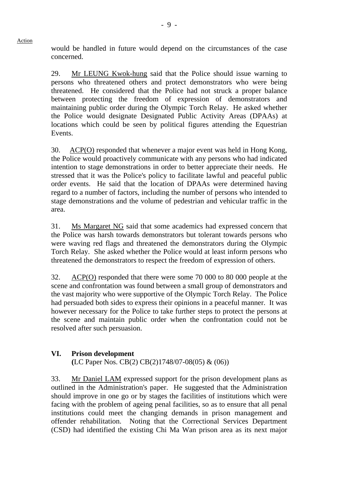would be handled in future would depend on the circumstances of the case concerned.

29. Mr LEUNG Kwok-hung said that the Police should issue warning to persons who threatened others and protect demonstrators who were being threatened. He considered that the Police had not struck a proper balance between protecting the freedom of expression of demonstrators and maintaining public order during the Olympic Torch Relay. He asked whether the Police would designate Designated Public Activity Areas (DPAAs) at locations which could be seen by political figures attending the Equestrian Events.

30. ACP(O) responded that whenever a major event was held in Hong Kong, the Police would proactively communicate with any persons who had indicated intention to stage demonstrations in order to better appreciate their needs. He stressed that it was the Police's policy to facilitate lawful and peaceful public order events. He said that the location of DPAAs were determined having regard to a number of factors, including the number of persons who intended to stage demonstrations and the volume of pedestrian and vehicular traffic in the area.

31. Ms Margaret NG said that some academics had expressed concern that the Police was harsh towards demonstrators but tolerant towards persons who were waving red flags and threatened the demonstrators during the Olympic Torch Relay. She asked whether the Police would at least inform persons who threatened the demonstrators to respect the freedom of expression of others.

32. ACP(O) responded that there were some 70 000 to 80 000 people at the scene and confrontation was found between a small group of demonstrators and the vast majority who were supportive of the Olympic Torch Relay. The Police had persuaded both sides to express their opinions in a peaceful manner. It was however necessary for the Police to take further steps to protect the persons at the scene and maintain public order when the confrontation could not be resolved after such persuasion.

# **VI. Prison development**

Action

**(**LC Paper Nos. CB(2) CB(2)1748/07-08(05) & (06))

33. Mr Daniel LAM expressed support for the prison development plans as outlined in the Administration's paper. He suggested that the Administration should improve in one go or by stages the facilities of institutions which were facing with the problem of ageing penal facilities, so as to ensure that all penal institutions could meet the changing demands in prison management and offender rehabilitation. Noting that the Correctional Services Department (CSD) had identified the existing Chi Ma Wan prison area as its next major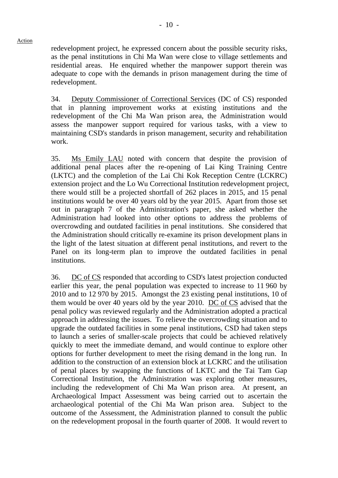redevelopment project, he expressed concern about the possible security risks, as the penal institutions in Chi Ma Wan were close to village settlements and residential areas. He enquired whether the manpower support therein was adequate to cope with the demands in prison management during the time of redevelopment.

34. Deputy Commissioner of Correctional Services (DC of CS) responded that in planning improvement works at existing institutions and the redevelopment of the Chi Ma Wan prison area, the Administration would assess the manpower support required for various tasks, with a view to maintaining CSD's standards in prison management, security and rehabilitation work.

35. Ms Emily LAU noted with concern that despite the provision of additional penal places after the re-opening of Lai King Training Centre (LKTC) and the completion of the Lai Chi Kok Reception Centre (LCKRC) extension project and the Lo Wu Correctional Institution redevelopment project, there would still be a projected shortfall of 262 places in 2015, and 15 penal institutions would be over 40 years old by the year 2015. Apart from those set out in paragraph 7 of the Administration's paper, she asked whether the Administration had looked into other options to address the problems of overcrowding and outdated facilities in penal institutions. She considered that the Administration should critically re-examine its prison development plans in the light of the latest situation at different penal institutions, and revert to the Panel on its long-term plan to improve the outdated facilities in penal institutions.

36. DC of CS responded that according to CSD's latest projection conducted earlier this year, the penal population was expected to increase to 11 960 by 2010 and to 12 970 by 2015. Amongst the 23 existing penal institutions, 10 of them would be over 40 years old by the year 2010.  $\underline{DC}$  of  $\overline{CS}$  advised that the penal policy was reviewed regularly and the Administration adopted a practical approach in addressing the issues. To relieve the overcrowding situation and to upgrade the outdated facilities in some penal institutions, CSD had taken steps to launch a series of smaller-scale projects that could be achieved relatively quickly to meet the immediate demand, and would continue to explore other options for further development to meet the rising demand in the long run. In addition to the construction of an extension block at LCKRC and the utilisation of penal places by swapping the functions of LKTC and the Tai Tam Gap Correctional Institution, the Administration was exploring other measures, including the redevelopment of Chi Ma Wan prison area. At present, an Archaeological Impact Assessment was being carried out to ascertain the archaeological potential of the Chi Ma Wan prison area. Subject to the outcome of the Assessment, the Administration planned to consult the public on the redevelopment proposal in the fourth quarter of 2008. It would revert to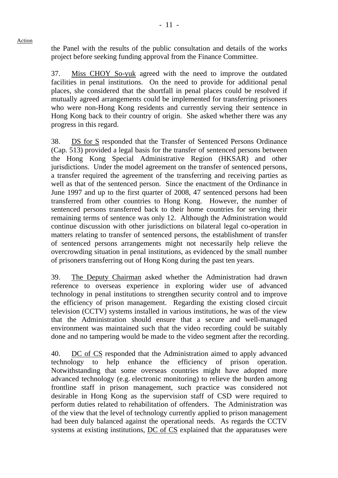Action

the Panel with the results of the public consultation and details of the works project before seeking funding approval from the Finance Committee.

37. Miss CHOY So-yuk agreed with the need to improve the outdated facilities in penal institutions. On the need to provide for additional penal places, she considered that the shortfall in penal places could be resolved if mutually agreed arrangements could be implemented for transferring prisoners who were non-Hong Kong residents and currently serving their sentence in Hong Kong back to their country of origin. She asked whether there was any progress in this regard.

38. DS for S responded that the Transfer of Sentenced Persons Ordinance (Cap. 513) provided a legal basis for the transfer of sentenced persons between the Hong Kong Special Administrative Region (HKSAR) and other jurisdictions. Under the model agreement on the transfer of sentenced persons, a transfer required the agreement of the transferring and receiving parties as well as that of the sentenced person. Since the enactment of the Ordinance in June 1997 and up to the first quarter of 2008, 47 sentenced persons had been transferred from other countries to Hong Kong. However, the number of sentenced persons transferred back to their home countries for serving their remaining terms of sentence was only 12. Although the Administration would continue discussion with other jurisdictions on bilateral legal co-operation in matters relating to transfer of sentenced persons, the establishment of transfer of sentenced persons arrangements might not necessarily help relieve the overcrowding situation in penal institutions, as evidenced by the small number of prisoners transferring out of Hong Kong during the past ten years.

39. The Deputy Chairman asked whether the Administration had drawn reference to overseas experience in exploring wider use of advanced technology in penal institutions to strengthen security control and to improve the efficiency of prison management. Regarding the existing closed circuit television (CCTV) systems installed in various institutions, he was of the view that the Administration should ensure that a secure and well-managed environment was maintained such that the video recording could be suitably done and no tampering would be made to the video segment after the recording.

40. DC of CS responded that the Administration aimed to apply advanced technology to help enhance the efficiency of prison operation. Notwithstanding that some overseas countries might have adopted more advanced technology (e.g. electronic monitoring) to relieve the burden among frontline staff in prison management, such practice was considered not desirable in Hong Kong as the supervision staff of CSD were required to perform duties related to rehabilitation of offenders. The Administration was of the view that the level of technology currently applied to prison management had been duly balanced against the operational needs. As regards the CCTV systems at existing institutions, DC of CS explained that the apparatuses were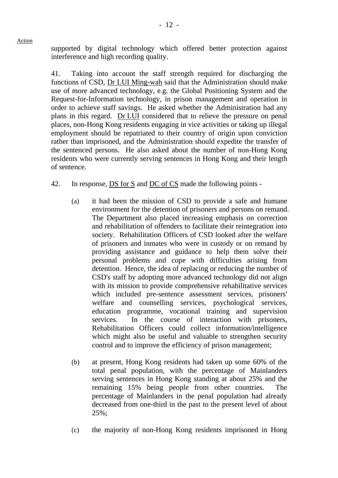supported by digital technology which offered better protection against interference and high recording quality.

41. Taking into account the staff strength required for discharging the functions of CSD, Dr LUI Ming-wah said that the Administration should make use of more advanced technology, e.g. the Global Positioning System and the Request-for-Information technology, in prison management and operation in order to achieve staff savings. He asked whether the Administration had any plans in this regard. Dr LUI considered that to relieve the pressure on penal places, non-Hong Kong residents engaging in vice activities or taking up illegal employment should be repatriated to their country of origin upon conviction rather than imprisoned, and the Administration should expedite the transfer of the sentenced persons. He also asked about the number of non-Hong Kong residents who were currently serving sentences in Hong Kong and their length of sentence.

- 42. In response, DS for S and DC of CS made the following points
	- (a) it had been the mission of CSD to provide a safe and humane environment for the detention of prisoners and persons on remand. The Department also placed increasing emphasis on correction and rehabilitation of offenders to facilitate their reintegration into society. Rehabilitation Officers of CSD looked after the welfare of prisoners and inmates who were in custody or on remand by providing assistance and guidance to help them solve their personal problems and cope with difficulties arising from detention. Hence, the idea of replacing or reducing the number of CSD's staff by adopting more advanced technology did not align with its mission to provide comprehensive rehabilitative services which included pre-sentence assessment services, prisoners' welfare and counselling services, psychological services, education programme, vocational training and supervision services. In the course of interaction with prisoners, Rehabilitation Officers could collect information/intelligence which might also be useful and valuable to strengthen security control and to improve the efficiency of prison management;
	- (b) at present, Hong Kong residents had taken up some 60% of the total penal population, with the percentage of Mainlanders serving sentences in Hong Kong standing at about 25% and the remaining 15% being people from other countries. The percentage of Mainlanders in the penal population had already decreased from one-third in the past to the present level of about 25%;
	- (c) the majority of non-Hong Kong residents imprisoned in Hong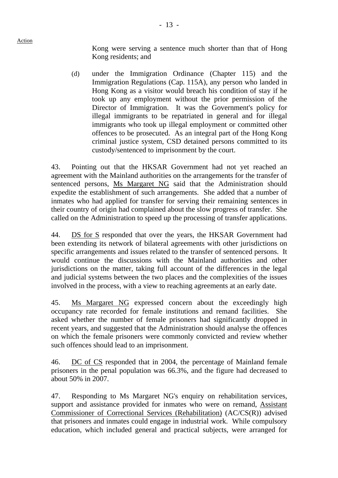Kong were serving a sentence much shorter than that of Hong Kong residents; and

(d) under the Immigration Ordinance (Chapter 115) and the Immigration Regulations (Cap. 115A), any person who landed in Hong Kong as a visitor would breach his condition of stay if he took up any employment without the prior permission of the Director of Immigration. It was the Government's policy for illegal immigrants to be repatriated in general and for illegal immigrants who took up illegal employment or committed other offences to be prosecuted. As an integral part of the Hong Kong criminal justice system, CSD detained persons committed to its custody/sentenced to imprisonment by the court.

43. Pointing out that the HKSAR Government had not yet reached an agreement with the Mainland authorities on the arrangements for the transfer of sentenced persons, Ms Margaret NG said that the Administration should expedite the establishment of such arrangements. She added that a number of inmates who had applied for transfer for serving their remaining sentences in their country of origin had complained about the slow progress of transfer. She called on the Administration to speed up the processing of transfer applications.

44. DS for S responded that over the years, the HKSAR Government had been extending its network of bilateral agreements with other jurisdictions on specific arrangements and issues related to the transfer of sentenced persons. It would continue the discussions with the Mainland authorities and other jurisdictions on the matter, taking full account of the differences in the legal and judicial systems between the two places and the complexities of the issues involved in the process, with a view to reaching agreements at an early date.

45. Ms Margaret NG expressed concern about the exceedingly high occupancy rate recorded for female institutions and remand facilities. She asked whether the number of female prisoners had significantly dropped in recent years, and suggested that the Administration should analyse the offences on which the female prisoners were commonly convicted and review whether such offences should lead to an imprisonment.

46. DC of CS responded that in 2004, the percentage of Mainland female prisoners in the penal population was 66.3%, and the figure had decreased to about 50% in 2007.

47. Responding to Ms Margaret NG's enquiry on rehabilitation services, support and assistance provided for inmates who were on remand, Assistant Commissioner of Correctional Services (Rehabilitation) (AC/CS(R)) advised that prisoners and inmates could engage in industrial work. While compulsory education, which included general and practical subjects, were arranged for